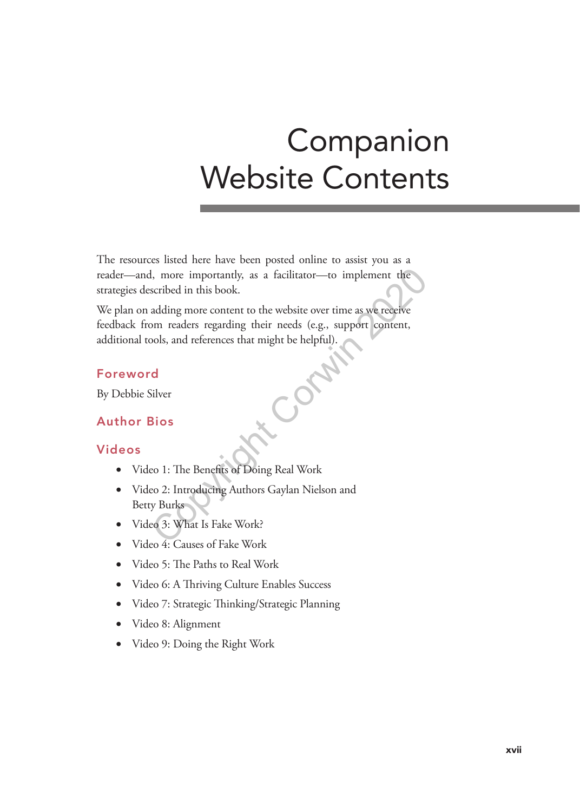# Companion Website Contents

The resources listed here have been posted online to assist you as a reader—and, more importantly, as a facilitator—to implement the strategies described in this book.

We plan on adding more content to the website over time as we receive feedback from readers regarding their needs (e.g., support content, additional tools, and references that might be helpful).<br> **Foreword**<br>
By Debbie Silver<br> **Author Bios** I, more importantly, as a facilitator—to implement the<br>scribed in this book.<br>adding more content to the website over time as we receive<br>om readers regarding their needs (e.g., support content,<br>ools, and references that mig

## Foreword

By Debbie Silver

## Author Bios

### Videos

- Video 1: The Benefits of Doing Real Work
- Video 2: Introducing Authors Gaylan Nielson and Betty Burks
- Video 3: What Is Fake Work?
- Video 4: Causes of Fake Work
- Video 5: The Paths to Real Work
- Video 6: A Thriving Culture Enables Success
- Video 7: Strategic Thinking/Strategic Planning
- Video 8: Alignment
- Video 9: Doing the Right Work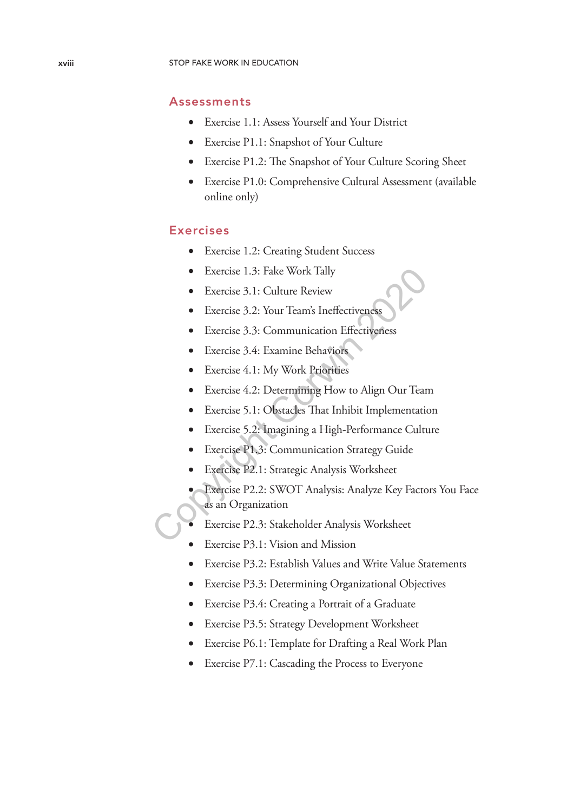#### Assessments

- Exercise 1.1: Assess Yourself and Your District
- Exercise P1.1: Snapshot of Your Culture
- Exercise P1.2: The Snapshot of Your Culture Scoring Sheet
- Exercise P1.0: Comprehensive Cultural Assessment (available online only)

#### Exercises

- Exercise 1.2: Creating Student Success
- Exercise 1.3: Fake Work Tally
- Exercise 3.1: Culture Review
- Exercise 3.2: Your Team's Ineffectiveness
- Exercise 3.3: Communication Effectiveness
- Exercise 3.4: Examine Behaviors
- Exercise 4.1: My Work Priorities
- Exercise 4.2: Determining How to Align Our Team
- Exercise 5.1: Obstacles That Inhibit Implementation
- Exercise 5.2: Imagining a High-Performance Culture
- Exercise P1.3: Communication Strategy Guide
- Exercise P2.1: Strategic Analysis Worksheet
- Exercise P2.2: SWOT Analysis: Analyze Key Factors You Face as an Organization • Exercise 3.1: Culture Review<br>
• Exercise 3.1: Culture Review<br>
• Exercise 3.2: Your Team's Ineffectiveness<br>
• Exercise 3.4: Examine Behaviors<br>
• Exercise 4.1: My Work Priorities<br>
• Exercise 4.2: Determining How to Align
	- Exercise P2.3: Stakeholder Analysis Worksheet
	- Exercise P3.1: Vision and Mission
	- Exercise P3.2: Establish Values and Write Value Statements
	- Exercise P3.3: Determining Organizational Objectives
	- Exercise P3.4: Creating a Portrait of a Graduate
	- Exercise P3.5: Strategy Development Worksheet
	- Exercise P6.1: Template for Drafting a Real Work Plan
	- Exercise P7.1: Cascading the Process to Everyone